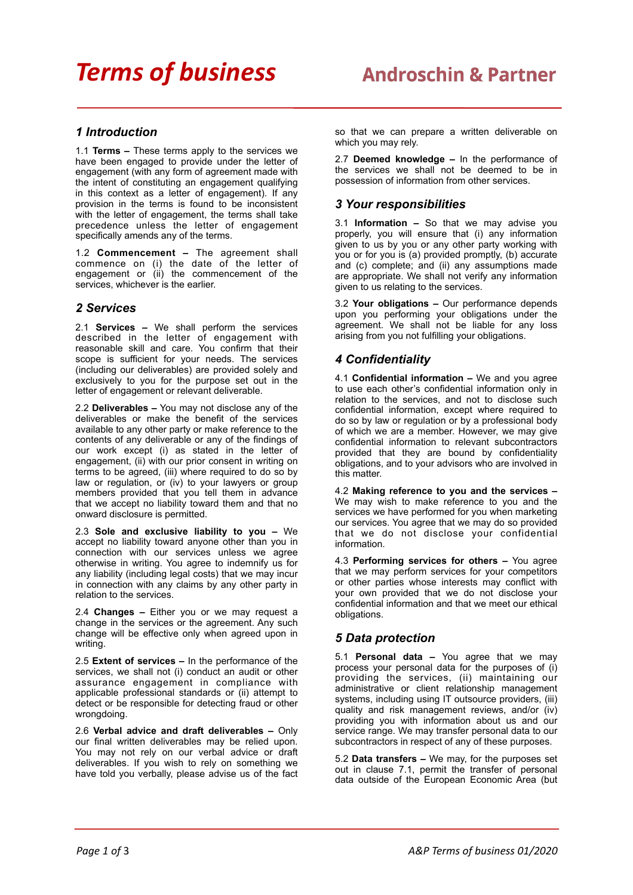### *1 Introduction*

1.1 **Terms –** These terms apply to the services we have been engaged to provide under the letter of engagement (with any form of agreement made with the intent of constituting an engagement qualifying in this context as a letter of engagement). If any provision in the terms is found to be inconsistent with the letter of engagement, the terms shall take precedence unless the letter of engagement specifically amends any of the terms.

1.2 **Commencement –** The agreement shall commence on (i) the date of the letter of engagement or (ii) the commencement of the services, whichever is the earlier.

#### *2 Services*

2.1 **Services –** We shall perform the services described in the letter of engagement with reasonable skill and care. You confirm that their scope is sufficient for your needs. The services (including our deliverables) are provided solely and exclusively to you for the purpose set out in the letter of engagement or relevant deliverable.

2.2 **Deliverables –** You may not disclose any of the deliverables or make the benefit of the services available to any other party or make reference to the contents of any deliverable or any of the findings of our work except (i) as stated in the letter of engagement, (ii) with our prior consent in writing on terms to be agreed, (iii) where required to do so by law or regulation, or (iv) to your lawyers or group members provided that you tell them in advance that we accept no liability toward them and that no onward disclosure is permitted.

2.3 **Sole and exclusive liability to you –** We accept no liability toward anyone other than you in connection with our services unless we agree otherwise in writing. You agree to indemnify us for any liability (including legal costs) that we may incur in connection with any claims by any other party in relation to the services.

2.4 **Changes –** Either you or we may request a change in the services or the agreement. Any such change will be effective only when agreed upon in writing.

2.5 **Extent of services –** In the performance of the services, we shall not (i) conduct an audit or other assurance engagement in compliance with applicable professional standards or (ii) attempt to detect or be responsible for detecting fraud or other wrongdoing.

2.6 **Verbal advice and draft deliverables –** Only our final written deliverables may be relied upon. You may not rely on our verbal advice or draft deliverables. If you wish to rely on something we have told you verbally, please advise us of the fact

so that we can prepare a written deliverable on which you may rely.

2.7 **Deemed knowledge –** In the performance of the services we shall not be deemed to be in possession of information from other services.

### *3 Your responsibilities*

3.1 **Information –** So that we may advise you properly, you will ensure that (i) any information given to us by you or any other party working with you or for you is (a) provided promptly, (b) accurate and (c) complete; and (ii) any assumptions made are appropriate. We shall not verify any information given to us relating to the services.

3.2 **Your obligations –** Our performance depends upon you performing your obligations under the agreement. We shall not be liable for any loss arising from you not fulfilling your obligations.

## *4 Confidentiality*

4.1 **Confidential information –** We and you agree to use each other's confidential information only in relation to the services, and not to disclose such confidential information, except where required to do so by law or regulation or by a professional body of which we are a member. However, we may give confidential information to relevant subcontractors provided that they are bound by confidentiality obligations, and to your advisors who are involved in this matter.

4.2 **Making reference to you and the services –**  We may wish to make reference to you and the services we have performed for you when marketing our services. You agree that we may do so provided that we do not disclose your confidential information.

4.3 **Performing services for others –** You agree that we may perform services for your competitors or other parties whose interests may conflict with your own provided that we do not disclose your confidential information and that we meet our ethical obligations.

## *5 Data protection*

5.1 **Personal data –** You agree that we may process your personal data for the purposes of (i) providing the services, (ii) maintaining our administrative or client relationship management systems, including using IT outsource providers, (iii) quality and risk management reviews, and/or (iv) providing you with information about us and our service range. We may transfer personal data to our subcontractors in respect of any of these purposes.

5.2 **Data transfers –** We may, for the purposes set out in clause 7.1, permit the transfer of personal data outside of the European Economic Area (but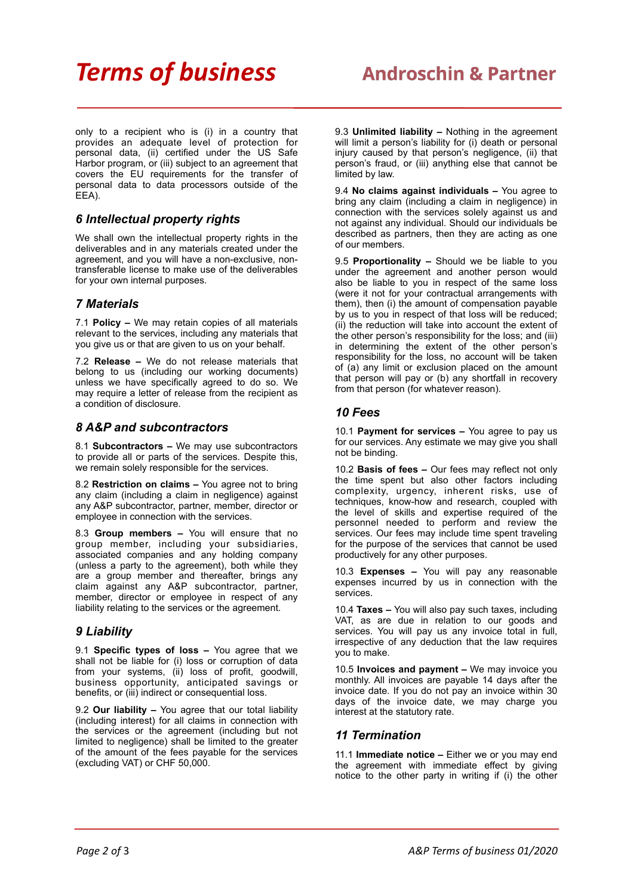only to a recipient who is (i) in a country that provides an adequate level of protection for personal data, (ii) certified under the US Safe Harbor program, or (iii) subject to an agreement that covers the EU requirements for the transfer of personal data to data processors outside of the EEA).

### *6 Intellectual property rights*

We shall own the intellectual property rights in the deliverables and in any materials created under the agreement, and you will have a non-exclusive, nontransferable license to make use of the deliverables for your own internal purposes.

# *7 Materials*

7.1 **Policy –** We may retain copies of all materials relevant to the services, including any materials that you give us or that are given to us on your behalf.

7.2 **Release –** We do not release materials that belong to us (including our working documents) unless we have specifically agreed to do so. We may require a letter of release from the recipient as a condition of disclosure.

#### *8 A&P and subcontractors*

8.1 **Subcontractors –** We may use subcontractors to provide all or parts of the services. Despite this, we remain solely responsible for the services.

8.2 **Restriction on claims –** You agree not to bring any claim (including a claim in negligence) against any A&P subcontractor, partner, member, director or employee in connection with the services.

8.3 **Group members –** You will ensure that no group member, including your subsidiaries, associated companies and any holding company (unless a party to the agreement), both while they are a group member and thereafter, brings any claim against any A&P subcontractor, partner, member, director or employee in respect of any liability relating to the services or the agreement.

## *9 Liability*

9.1 **Specific types of loss –** You agree that we shall not be liable for (i) loss or corruption of data from your systems, (ii) loss of profit, goodwill, business opportunity, anticipated savings or benefits, or (iii) indirect or consequential loss.

9.2 **Our liability –** You agree that our total liability (including interest) for all claims in connection with the services or the agreement (including but not limited to negligence) shall be limited to the greater of the amount of the fees payable for the services (excluding VAT) or CHF 50,000.

9.3 **Unlimited liability –** Nothing in the agreement will limit a person's liability for (i) death or personal injury caused by that person's negligence, (ii) that person's fraud, or (iii) anything else that cannot be limited by law.

9.4 **No claims against individuals –** You agree to bring any claim (including a claim in negligence) in connection with the services solely against us and not against any individual. Should our individuals be described as partners, then they are acting as one of our members.

9.5 **Proportionality –** Should we be liable to you under the agreement and another person would also be liable to you in respect of the same loss (were it not for your contractual arrangements with them), then (i) the amount of compensation payable by us to you in respect of that loss will be reduced; (ii) the reduction will take into account the extent of the other person's responsibility for the loss; and (iii) in determining the extent of the other person's responsibility for the loss, no account will be taken of (a) any limit or exclusion placed on the amount that person will pay or (b) any shortfall in recovery from that person (for whatever reason).

## *10 Fees*

10.1 **Payment for services –** You agree to pay us for our services. Any estimate we may give you shall not be binding.

10.2 **Basis of fees –** Our fees may reflect not only the time spent but also other factors including complexity, urgency, inherent risks, use of techniques, know-how and research, coupled with the level of skills and expertise required of the personnel needed to perform and review the services. Our fees may include time spent traveling for the purpose of the services that cannot be used productively for any other purposes.

10.3 **Expenses –** You will pay any reasonable expenses incurred by us in connection with the services.

10.4 **Taxes –** You will also pay such taxes, including VAT, as are due in relation to our goods and services. You will pay us any invoice total in full, irrespective of any deduction that the law requires you to make.

10.5 **Invoices and payment –** We may invoice you monthly. All invoices are payable 14 days after the invoice date. If you do not pay an invoice within 30 days of the invoice date, we may charge you interest at the statutory rate.

## *11 Termination*

11.1 **Immediate notice –** Either we or you may end the agreement with immediate effect by giving notice to the other party in writing if (i) the other